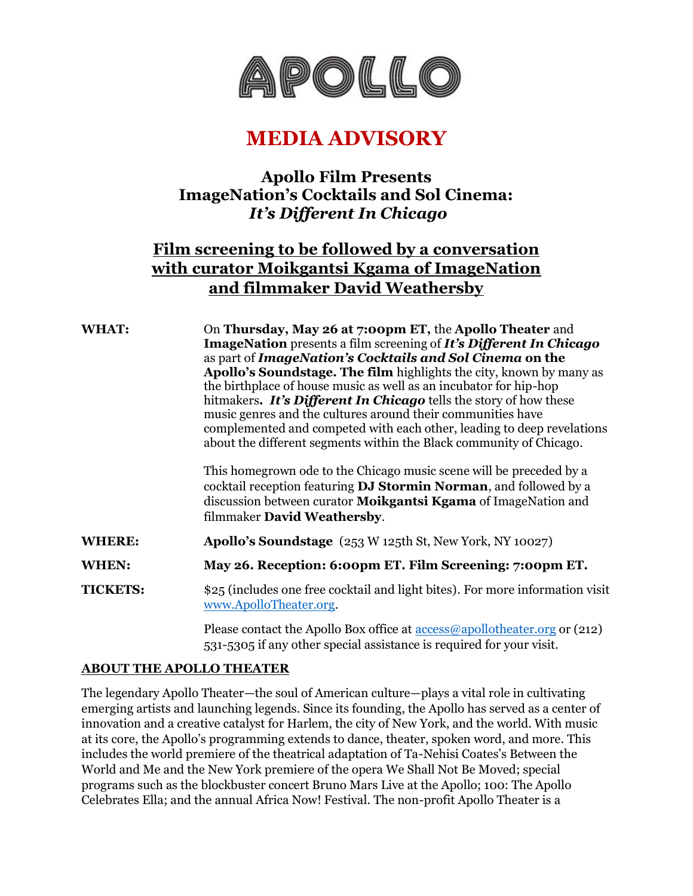

# **MEDIA ADVISORY**

### **Apollo Film Presents ImageNation's Cocktails and Sol Cinema:** *It's Different In Chicago*

## **Film screening to be followed by a conversation with curator Moikgantsi Kgama of ImageNation and filmmaker David Weathersby**

**WHAT:** On **Thursday, May 26 at 7:00pm ET,** the **Apollo Theater** and **ImageNation** presents a film screening of *It's Different In Chicago*  as part of *ImageNation's Cocktails and Sol Cinema* **on the Apollo's Soundstage. The film** highlights the city, known by many as the birthplace of house music as well as an incubator for hip-hop hitmakers*. It's Different In Chicago* tells the story of how these music genres and the cultures around their communities have complemented and competed with each other, leading to deep revelations about the different segments within the Black community of Chicago.

> This homegrown ode to the Chicago music scene will be preceded by a cocktail reception featuring **DJ Stormin Norman**, and followed by a discussion between curator **Moikgantsi Kgama** of ImageNation and filmmaker **David Weathersby**.

**WHERE: Apollo's Soundstage** (253 W 125th St, New York, NY 10027)

**WHEN: May 26. Reception: 6:00pm ET. Film Screening: 7:00pm ET.**

**TICKETS:**  $$25$  (includes one free cocktail and light bites). For more information visit [www.ApolloTheater.org.](http://www.apollotheater.org/)

> Please contact the Apollo Box office at  $\frac{access@apollother.org}{area.org}$  or (212) 531-5305 if any other special assistance is required for your visit.

#### **ABOUT THE APOLLO THEATER**

The legendary Apollo Theater—the soul of American culture—plays a vital role in cultivating emerging artists and launching legends. Since its founding, the Apollo has served as a center of innovation and a creative catalyst for Harlem, the city of New York, and the world. With music at its core, the Apollo's programming extends to dance, theater, spoken word, and more. This includes the world premiere of the theatrical adaptation of Ta-Nehisi Coates's Between the World and Me and the New York premiere of the opera We Shall Not Be Moved; special programs such as the blockbuster concert Bruno Mars Live at the Apollo; 100: The Apollo Celebrates Ella; and the annual Africa Now! Festival. The non-profit Apollo Theater is a